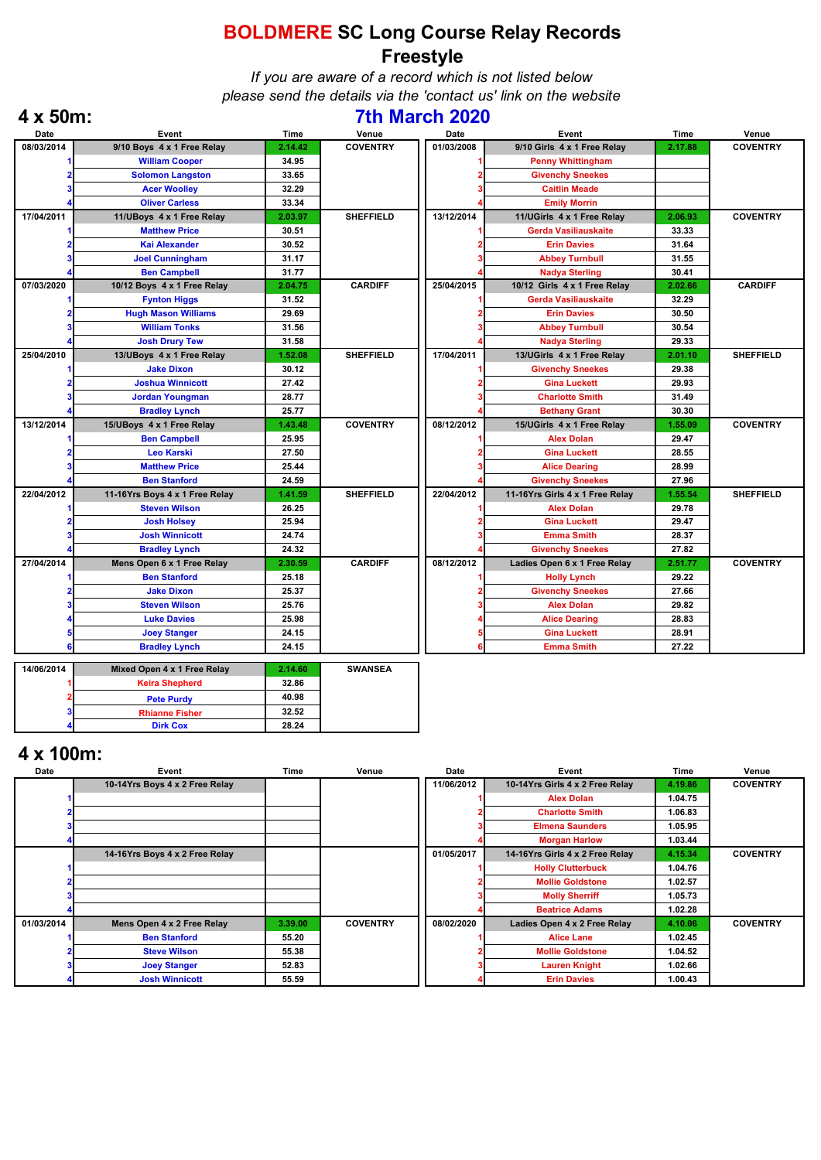# **BOLDMERE SC Long Course Relay Records Freestyle**

*If you are aware of a record which is not listed below please send the details via the 'contact us' link on the website*

| $4 \times 50$ m: |                                               |         |                  | <b>7th March 2020</b> |                                 |         |                  |
|------------------|-----------------------------------------------|---------|------------------|-----------------------|---------------------------------|---------|------------------|
| Date             | Event                                         | Time    | Venue            | Date                  | Event                           | Time    | Venue            |
| 08/03/2014       | 9/10 Boys 4 x 1 Free Relay                    | 2.14.42 | <b>COVENTRY</b>  | 01/03/2008            | 9/10 Girls 4 x 1 Free Relay     | 2.17.88 | <b>COVENTRY</b>  |
|                  | <b>William Cooper</b>                         | 34.95   |                  |                       | <b>Penny Whittingham</b>        |         |                  |
|                  | <b>Solomon Langston</b>                       | 33.65   |                  |                       | <b>Givenchy Sneekes</b>         |         |                  |
|                  | <b>Acer Woolley</b>                           | 32.29   |                  |                       | <b>Caitlin Meade</b>            |         |                  |
|                  | <b>Oliver Carless</b>                         | 33.34   |                  |                       | <b>Emily Morrin</b>             |         |                  |
| 17/04/2011       | 11/UBoys 4 x 1 Free Relay                     | 2.03.97 | <b>SHEFFIELD</b> | 13/12/2014            | 11/UGirls 4 x 1 Free Relay      | 2.06.93 | <b>COVENTRY</b>  |
|                  | <b>Matthew Price</b>                          | 30.51   |                  |                       | Gerda Vasiliauskaite            | 33.33   |                  |
|                  | <b>Kai Alexander</b>                          | 30.52   |                  |                       | <b>Erin Davies</b>              | 31.64   |                  |
|                  | <b>Joel Cunningham</b>                        | 31.17   |                  |                       | <b>Abbey Turnbull</b>           | 31.55   |                  |
|                  | <b>Ben Campbell</b>                           | 31.77   |                  |                       | <b>Nadya Sterling</b>           | 30.41   |                  |
| 07/03/2020       | 10/12 Boys 4 x 1 Free Relay                   | 2.04.75 | <b>CARDIFF</b>   | 25/04/2015            | 10/12 Girls 4 x 1 Free Relay    | 2.02.66 | <b>CARDIFF</b>   |
|                  | <b>Fynton Higgs</b>                           | 31.52   |                  |                       | Gerda Vasiliauskaite            | 32.29   |                  |
|                  | <b>Hugh Mason Williams</b>                    | 29.69   |                  |                       | <b>Erin Davies</b>              | 30.50   |                  |
|                  | <b>William Tonks</b>                          | 31.56   |                  |                       | <b>Abbey Turnbull</b>           | 30.54   |                  |
|                  | <b>Josh Drury Tew</b>                         | 31.58   |                  |                       | <b>Nadya Sterling</b>           | 29.33   |                  |
| 25/04/2010       | 13/UBoys 4 x 1 Free Relay                     | 1.52.08 | <b>SHEFFIELD</b> | 17/04/2011            | 13/UGirls 4 x 1 Free Relay      | 2.01.10 | <b>SHEFFIELD</b> |
|                  | <b>Jake Dixon</b>                             | 30.12   |                  |                       | <b>Givenchy Sneekes</b>         | 29.38   |                  |
|                  | <b>Joshua Winnicott</b>                       | 27.42   |                  |                       | <b>Gina Luckett</b>             | 29.93   |                  |
|                  | <b>Jordan Youngman</b>                        | 28.77   |                  |                       | <b>Charlotte Smith</b>          | 31.49   |                  |
|                  | <b>Bradley Lynch</b>                          | 25.77   |                  |                       | <b>Bethany Grant</b>            | 30.30   |                  |
| 13/12/2014       | 15/UBoys 4 x 1 Free Relay                     | 1.43.48 | <b>COVENTRY</b>  | 08/12/2012            | 15/UGirls 4 x 1 Free Relay      | 1.55.09 | <b>COVENTRY</b>  |
|                  | <b>Ben Campbell</b>                           | 25.95   |                  |                       | <b>Alex Dolan</b>               | 29.47   |                  |
|                  | <b>Leo Karski</b>                             | 27.50   |                  |                       | <b>Gina Luckett</b>             | 28.55   |                  |
|                  | <b>Matthew Price</b>                          | 25.44   |                  |                       | <b>Alice Dearing</b>            | 28.99   |                  |
|                  | <b>Ben Stanford</b>                           | 24.59   |                  |                       | <b>Givenchy Sneekes</b>         | 27.96   |                  |
| 22/04/2012       | 11-16Yrs Boys 4 x 1 Free Relay                | 1.41.59 | <b>SHEFFIELD</b> | 22/04/2012            | 11-16Yrs Girls 4 x 1 Free Relay | 1.55.54 | <b>SHEFFIELD</b> |
|                  | <b>Steven Wilson</b>                          | 26.25   |                  |                       | <b>Alex Dolan</b>               | 29.78   |                  |
|                  | <b>Josh Holsey</b>                            | 25.94   |                  |                       | <b>Gina Luckett</b>             | 29.47   |                  |
|                  | <b>Josh Winnicott</b>                         | 24.74   |                  |                       | <b>Emma Smith</b>               | 28.37   |                  |
|                  | <b>Bradley Lynch</b>                          | 24.32   |                  |                       | <b>Givenchy Sneekes</b>         | 27.82   |                  |
| 27/04/2014       | Mens Open 6 x 1 Free Relay                    | 2.30.59 | <b>CARDIFF</b>   | 08/12/2012            | Ladies Open 6 x 1 Free Relay    | 2.51.77 | <b>COVENTRY</b>  |
|                  | <b>Ben Stanford</b>                           | 25.18   |                  |                       | <b>Holly Lynch</b>              | 29.22   |                  |
|                  | <b>Jake Dixon</b>                             | 25.37   |                  |                       | <b>Givenchy Sneekes</b>         | 27.66   |                  |
|                  | <b>Steven Wilson</b>                          | 25.76   |                  |                       | <b>Alex Dolan</b>               | 29.82   |                  |
|                  | <b>Luke Davies</b>                            | 25.98   |                  |                       | <b>Alice Dearing</b>            | 28.83   |                  |
|                  | <b>Joey Stanger</b>                           | 24.15   |                  |                       | <b>Gina Luckett</b>             | 28.91   |                  |
|                  | <b>Bradley Lynch</b>                          | 24.15   |                  |                       | <b>Emma Smith</b>               | 27.22   |                  |
| $\overline{}$    | $\sim$ 4 $\sim$ 4 Eq. s Del<br>$\overline{1}$ | 0.44.00 | OMLADLOF         |                       |                                 |         |                  |

| 14/06/2014 | Mixed Open 4 x 1 Free Relay | 2.14.60 | <b>SWANSEA</b> |
|------------|-----------------------------|---------|----------------|
|            | <b>Keira Shepherd</b>       | 32.86   |                |
|            | <b>Pete Purdy</b>           | 40.98   |                |
|            | <b>Rhianne Fisher</b>       | 32.52   |                |
|            | <b>Dirk Cox</b>             | 28.24   |                |

### **4 x 100m:**

| Date       | Event                          | Time    | Venue           | Date       | Event                           | <b>Time</b> | Venue           |
|------------|--------------------------------|---------|-----------------|------------|---------------------------------|-------------|-----------------|
|            | 10-14Yrs Boys 4 x 2 Free Relay |         |                 | 11/06/2012 | 10-14Yrs Girls 4 x 2 Free Relay | 4.19.86     | <b>COVENTRY</b> |
|            |                                |         |                 |            | <b>Alex Dolan</b>               | 1.04.75     |                 |
|            |                                |         |                 |            | <b>Charlotte Smith</b>          | 1.06.83     |                 |
|            |                                |         |                 |            | <b>Elmena Saunders</b>          | 1.05.95     |                 |
|            |                                |         |                 |            | <b>Morgan Harlow</b>            | 1.03.44     |                 |
|            | 14-16Yrs Boys 4 x 2 Free Relay |         |                 | 01/05/2017 | 14-16Yrs Girls 4 x 2 Free Relay | 4.15.34     | <b>COVENTRY</b> |
|            |                                |         |                 |            | <b>Holly Clutterbuck</b>        | 1.04.76     |                 |
|            |                                |         |                 |            | <b>Mollie Goldstone</b>         | 1.02.57     |                 |
|            |                                |         |                 |            | <b>Molly Sherriff</b>           | 1.05.73     |                 |
|            |                                |         |                 |            | <b>Beatrice Adams</b>           | 1.02.28     |                 |
| 01/03/2014 | Mens Open 4 x 2 Free Relay     | 3.39.00 | <b>COVENTRY</b> | 08/02/2020 | Ladies Open 4 x 2 Free Relay    | 4.10.06     | <b>COVENTRY</b> |
|            | <b>Ben Stanford</b>            | 55.20   |                 |            | <b>Alice Lane</b>               | 1.02.45     |                 |
|            | <b>Steve Wilson</b>            | 55.38   |                 |            | <b>Mollie Goldstone</b>         | 1.04.52     |                 |
|            | <b>Joey Stanger</b>            | 52.83   |                 |            | <b>Lauren Knight</b>            | 1.02.66     |                 |
|            | <b>Josh Winnicott</b>          | 55.59   |                 |            | <b>Erin Davies</b>              | 1.00.43     |                 |